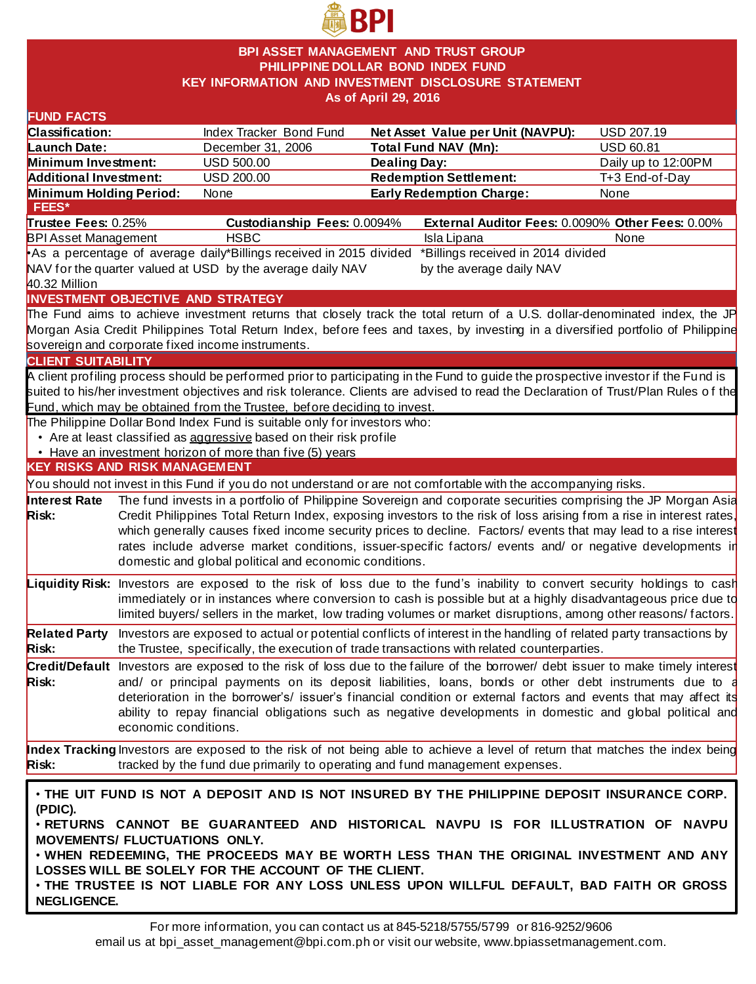

## **BPI ASSET MANAGEMENT AND TRUST GROUP PHILIPPINE DOLLAR BOND INDEX FUND KEY INFORMATION AND INVESTMENT DISCLOSURE STATEMENT As of April 29, 2016**

| Classification:<br>Index Tracker Bond Fund<br>Net Asset Value per Unit (NAVPU):<br>Launch Date:<br><b>Total Fund NAV (Mn):</b><br>December 31, 2006<br>Minimum Investment:<br><b>USD 500.00</b><br><b>Dealing Day:</b><br><b>Redemption Settlement:</b><br><b>Additional Investment:</b><br><b>USD 200.00</b><br>Minimum Holding Period:<br><b>Early Redemption Charge:</b><br>None<br>FEES*<br>Trustee Fees: 0.25%<br>Custodianship Fees: 0.0094%<br><b>HSBC</b><br><b>BPI Asset Management</b><br>Isla Lipana<br>As a percentage of average daily*Billings received in 2015 divided<br>*Billings received in 2014 divided<br>NAV for the quarter valued at USD by the average daily NAV<br>by the average daily NAV<br>40.32 Million<br>INVESTMENT OBJECTIVE AND STRATEGY<br>The Fund aims to achieve investment returns that closely track the total return of a U.S. dollar-denominated index, the JP<br>Morgan Asia Credit Philippines Total Return Index, before fees and taxes, by investing in a diversified portfolio of Philippine<br>sovereign and corporate fixed income instruments.<br><b>CLIENT SUITABILITY</b><br>A client profiling process should be performed prior to participating in the Fund to guide the prospective investor if the Fund is<br>Fund, which may be obtained from the Trustee, before deciding to invest.<br>The Philippine Dollar Bond Index Fund is suitable only for investors who:<br>• Are at least classified as aggressive based on their risk profile<br>• Have an investment horizon of more than five (5) years<br><b>KEY RISKS AND RISK MANAGEMENT</b> | <b>USD 207.19</b><br><b>USD 60.81</b><br>Daily up to 12:00PM<br>T+3 End-of-Day<br>None<br>External Auditor Fees: 0.0090% Other Fees: 0.00%<br>None |  |  |  |  |
|----------------------------------------------------------------------------------------------------------------------------------------------------------------------------------------------------------------------------------------------------------------------------------------------------------------------------------------------------------------------------------------------------------------------------------------------------------------------------------------------------------------------------------------------------------------------------------------------------------------------------------------------------------------------------------------------------------------------------------------------------------------------------------------------------------------------------------------------------------------------------------------------------------------------------------------------------------------------------------------------------------------------------------------------------------------------------------------------------------------------------------------------------------------------------------------------------------------------------------------------------------------------------------------------------------------------------------------------------------------------------------------------------------------------------------------------------------------------------------------------------------------------------------------------------------------------------------------------------------|----------------------------------------------------------------------------------------------------------------------------------------------------|--|--|--|--|
|                                                                                                                                                                                                                                                                                                                                                                                                                                                                                                                                                                                                                                                                                                                                                                                                                                                                                                                                                                                                                                                                                                                                                                                                                                                                                                                                                                                                                                                                                                                                                                                                          |                                                                                                                                                    |  |  |  |  |
|                                                                                                                                                                                                                                                                                                                                                                                                                                                                                                                                                                                                                                                                                                                                                                                                                                                                                                                                                                                                                                                                                                                                                                                                                                                                                                                                                                                                                                                                                                                                                                                                          |                                                                                                                                                    |  |  |  |  |
|                                                                                                                                                                                                                                                                                                                                                                                                                                                                                                                                                                                                                                                                                                                                                                                                                                                                                                                                                                                                                                                                                                                                                                                                                                                                                                                                                                                                                                                                                                                                                                                                          |                                                                                                                                                    |  |  |  |  |
|                                                                                                                                                                                                                                                                                                                                                                                                                                                                                                                                                                                                                                                                                                                                                                                                                                                                                                                                                                                                                                                                                                                                                                                                                                                                                                                                                                                                                                                                                                                                                                                                          |                                                                                                                                                    |  |  |  |  |
|                                                                                                                                                                                                                                                                                                                                                                                                                                                                                                                                                                                                                                                                                                                                                                                                                                                                                                                                                                                                                                                                                                                                                                                                                                                                                                                                                                                                                                                                                                                                                                                                          |                                                                                                                                                    |  |  |  |  |
|                                                                                                                                                                                                                                                                                                                                                                                                                                                                                                                                                                                                                                                                                                                                                                                                                                                                                                                                                                                                                                                                                                                                                                                                                                                                                                                                                                                                                                                                                                                                                                                                          |                                                                                                                                                    |  |  |  |  |
|                                                                                                                                                                                                                                                                                                                                                                                                                                                                                                                                                                                                                                                                                                                                                                                                                                                                                                                                                                                                                                                                                                                                                                                                                                                                                                                                                                                                                                                                                                                                                                                                          |                                                                                                                                                    |  |  |  |  |
|                                                                                                                                                                                                                                                                                                                                                                                                                                                                                                                                                                                                                                                                                                                                                                                                                                                                                                                                                                                                                                                                                                                                                                                                                                                                                                                                                                                                                                                                                                                                                                                                          |                                                                                                                                                    |  |  |  |  |
|                                                                                                                                                                                                                                                                                                                                                                                                                                                                                                                                                                                                                                                                                                                                                                                                                                                                                                                                                                                                                                                                                                                                                                                                                                                                                                                                                                                                                                                                                                                                                                                                          |                                                                                                                                                    |  |  |  |  |
|                                                                                                                                                                                                                                                                                                                                                                                                                                                                                                                                                                                                                                                                                                                                                                                                                                                                                                                                                                                                                                                                                                                                                                                                                                                                                                                                                                                                                                                                                                                                                                                                          |                                                                                                                                                    |  |  |  |  |
|                                                                                                                                                                                                                                                                                                                                                                                                                                                                                                                                                                                                                                                                                                                                                                                                                                                                                                                                                                                                                                                                                                                                                                                                                                                                                                                                                                                                                                                                                                                                                                                                          |                                                                                                                                                    |  |  |  |  |
|                                                                                                                                                                                                                                                                                                                                                                                                                                                                                                                                                                                                                                                                                                                                                                                                                                                                                                                                                                                                                                                                                                                                                                                                                                                                                                                                                                                                                                                                                                                                                                                                          |                                                                                                                                                    |  |  |  |  |
|                                                                                                                                                                                                                                                                                                                                                                                                                                                                                                                                                                                                                                                                                                                                                                                                                                                                                                                                                                                                                                                                                                                                                                                                                                                                                                                                                                                                                                                                                                                                                                                                          |                                                                                                                                                    |  |  |  |  |
|                                                                                                                                                                                                                                                                                                                                                                                                                                                                                                                                                                                                                                                                                                                                                                                                                                                                                                                                                                                                                                                                                                                                                                                                                                                                                                                                                                                                                                                                                                                                                                                                          |                                                                                                                                                    |  |  |  |  |
|                                                                                                                                                                                                                                                                                                                                                                                                                                                                                                                                                                                                                                                                                                                                                                                                                                                                                                                                                                                                                                                                                                                                                                                                                                                                                                                                                                                                                                                                                                                                                                                                          |                                                                                                                                                    |  |  |  |  |
|                                                                                                                                                                                                                                                                                                                                                                                                                                                                                                                                                                                                                                                                                                                                                                                                                                                                                                                                                                                                                                                                                                                                                                                                                                                                                                                                                                                                                                                                                                                                                                                                          |                                                                                                                                                    |  |  |  |  |
|                                                                                                                                                                                                                                                                                                                                                                                                                                                                                                                                                                                                                                                                                                                                                                                                                                                                                                                                                                                                                                                                                                                                                                                                                                                                                                                                                                                                                                                                                                                                                                                                          |                                                                                                                                                    |  |  |  |  |
|                                                                                                                                                                                                                                                                                                                                                                                                                                                                                                                                                                                                                                                                                                                                                                                                                                                                                                                                                                                                                                                                                                                                                                                                                                                                                                                                                                                                                                                                                                                                                                                                          | suited to his/her investment objectives and risk tolerance. Clients are advised to read the Declaration of Trust/Plan Rules of the                 |  |  |  |  |
|                                                                                                                                                                                                                                                                                                                                                                                                                                                                                                                                                                                                                                                                                                                                                                                                                                                                                                                                                                                                                                                                                                                                                                                                                                                                                                                                                                                                                                                                                                                                                                                                          |                                                                                                                                                    |  |  |  |  |
|                                                                                                                                                                                                                                                                                                                                                                                                                                                                                                                                                                                                                                                                                                                                                                                                                                                                                                                                                                                                                                                                                                                                                                                                                                                                                                                                                                                                                                                                                                                                                                                                          |                                                                                                                                                    |  |  |  |  |
|                                                                                                                                                                                                                                                                                                                                                                                                                                                                                                                                                                                                                                                                                                                                                                                                                                                                                                                                                                                                                                                                                                                                                                                                                                                                                                                                                                                                                                                                                                                                                                                                          |                                                                                                                                                    |  |  |  |  |
|                                                                                                                                                                                                                                                                                                                                                                                                                                                                                                                                                                                                                                                                                                                                                                                                                                                                                                                                                                                                                                                                                                                                                                                                                                                                                                                                                                                                                                                                                                                                                                                                          |                                                                                                                                                    |  |  |  |  |
|                                                                                                                                                                                                                                                                                                                                                                                                                                                                                                                                                                                                                                                                                                                                                                                                                                                                                                                                                                                                                                                                                                                                                                                                                                                                                                                                                                                                                                                                                                                                                                                                          |                                                                                                                                                    |  |  |  |  |
| You should not invest in this Fund if you do not understand or are not comfortable with the accompanying risks.                                                                                                                                                                                                                                                                                                                                                                                                                                                                                                                                                                                                                                                                                                                                                                                                                                                                                                                                                                                                                                                                                                                                                                                                                                                                                                                                                                                                                                                                                          |                                                                                                                                                    |  |  |  |  |
| The fund invests in a portfolio of Philippine Sovereign and corporate securities comprising the JP Morgan Asia<br>Interest Rate                                                                                                                                                                                                                                                                                                                                                                                                                                                                                                                                                                                                                                                                                                                                                                                                                                                                                                                                                                                                                                                                                                                                                                                                                                                                                                                                                                                                                                                                          |                                                                                                                                                    |  |  |  |  |
| Risk:                                                                                                                                                                                                                                                                                                                                                                                                                                                                                                                                                                                                                                                                                                                                                                                                                                                                                                                                                                                                                                                                                                                                                                                                                                                                                                                                                                                                                                                                                                                                                                                                    |                                                                                                                                                    |  |  |  |  |
| which generally causes fixed income security prices to decline. Factors/ events that may lead to a rise interest                                                                                                                                                                                                                                                                                                                                                                                                                                                                                                                                                                                                                                                                                                                                                                                                                                                                                                                                                                                                                                                                                                                                                                                                                                                                                                                                                                                                                                                                                         |                                                                                                                                                    |  |  |  |  |
|                                                                                                                                                                                                                                                                                                                                                                                                                                                                                                                                                                                                                                                                                                                                                                                                                                                                                                                                                                                                                                                                                                                                                                                                                                                                                                                                                                                                                                                                                                                                                                                                          |                                                                                                                                                    |  |  |  |  |
|                                                                                                                                                                                                                                                                                                                                                                                                                                                                                                                                                                                                                                                                                                                                                                                                                                                                                                                                                                                                                                                                                                                                                                                                                                                                                                                                                                                                                                                                                                                                                                                                          |                                                                                                                                                    |  |  |  |  |
| rates include adverse market conditions, issuer-specific factors/ events and/ or negative developments in                                                                                                                                                                                                                                                                                                                                                                                                                                                                                                                                                                                                                                                                                                                                                                                                                                                                                                                                                                                                                                                                                                                                                                                                                                                                                                                                                                                                                                                                                                |                                                                                                                                                    |  |  |  |  |
| domestic and global political and economic conditions.                                                                                                                                                                                                                                                                                                                                                                                                                                                                                                                                                                                                                                                                                                                                                                                                                                                                                                                                                                                                                                                                                                                                                                                                                                                                                                                                                                                                                                                                                                                                                   |                                                                                                                                                    |  |  |  |  |
| Investors are exposed to the risk of loss due to the fund's inability to convert security holdings to cash                                                                                                                                                                                                                                                                                                                                                                                                                                                                                                                                                                                                                                                                                                                                                                                                                                                                                                                                                                                                                                                                                                                                                                                                                                                                                                                                                                                                                                                                                               |                                                                                                                                                    |  |  |  |  |
| immediately or in instances where conversion to cash is possible but at a highly disadvantageous price due to                                                                                                                                                                                                                                                                                                                                                                                                                                                                                                                                                                                                                                                                                                                                                                                                                                                                                                                                                                                                                                                                                                                                                                                                                                                                                                                                                                                                                                                                                            |                                                                                                                                                    |  |  |  |  |
| limited buyers/ sellers in the market, low trading volumes or market disruptions, among other reasons/ factors.                                                                                                                                                                                                                                                                                                                                                                                                                                                                                                                                                                                                                                                                                                                                                                                                                                                                                                                                                                                                                                                                                                                                                                                                                                                                                                                                                                                                                                                                                          |                                                                                                                                                    |  |  |  |  |
| Investors are exposed to actual or potential conflicts of interest in the handling of related party transactions by                                                                                                                                                                                                                                                                                                                                                                                                                                                                                                                                                                                                                                                                                                                                                                                                                                                                                                                                                                                                                                                                                                                                                                                                                                                                                                                                                                                                                                                                                      |                                                                                                                                                    |  |  |  |  |
| Liquidity Risk:<br><b>Related Party</b><br>the Trustee, specifically, the execution of trade transactions with related counterparties.<br><b>Risk:</b>                                                                                                                                                                                                                                                                                                                                                                                                                                                                                                                                                                                                                                                                                                                                                                                                                                                                                                                                                                                                                                                                                                                                                                                                                                                                                                                                                                                                                                                   |                                                                                                                                                    |  |  |  |  |
| Credit/Default Investors are exposed to the risk of loss due to the failure of the borrower/ debt issuer to make timely interest                                                                                                                                                                                                                                                                                                                                                                                                                                                                                                                                                                                                                                                                                                                                                                                                                                                                                                                                                                                                                                                                                                                                                                                                                                                                                                                                                                                                                                                                         |                                                                                                                                                    |  |  |  |  |
| and/ or principal payments on its deposit liabilities, loans, bonds or other debt instruments due to $\frac{1}{3}$                                                                                                                                                                                                                                                                                                                                                                                                                                                                                                                                                                                                                                                                                                                                                                                                                                                                                                                                                                                                                                                                                                                                                                                                                                                                                                                                                                                                                                                                                       |                                                                                                                                                    |  |  |  |  |
| deterioration in the borrower's/ issuer's financial condition or external factors and events that may affect its                                                                                                                                                                                                                                                                                                                                                                                                                                                                                                                                                                                                                                                                                                                                                                                                                                                                                                                                                                                                                                                                                                                                                                                                                                                                                                                                                                                                                                                                                         |                                                                                                                                                    |  |  |  |  |
| ability to repay financial obligations such as negative developments in domestic and global political and                                                                                                                                                                                                                                                                                                                                                                                                                                                                                                                                                                                                                                                                                                                                                                                                                                                                                                                                                                                                                                                                                                                                                                                                                                                                                                                                                                                                                                                                                                |                                                                                                                                                    |  |  |  |  |
| Risk:<br>economic conditions.                                                                                                                                                                                                                                                                                                                                                                                                                                                                                                                                                                                                                                                                                                                                                                                                                                                                                                                                                                                                                                                                                                                                                                                                                                                                                                                                                                                                                                                                                                                                                                            |                                                                                                                                                    |  |  |  |  |
|                                                                                                                                                                                                                                                                                                                                                                                                                                                                                                                                                                                                                                                                                                                                                                                                                                                                                                                                                                                                                                                                                                                                                                                                                                                                                                                                                                                                                                                                                                                                                                                                          |                                                                                                                                                    |  |  |  |  |
|                                                                                                                                                                                                                                                                                                                                                                                                                                                                                                                                                                                                                                                                                                                                                                                                                                                                                                                                                                                                                                                                                                                                                                                                                                                                                                                                                                                                                                                                                                                                                                                                          |                                                                                                                                                    |  |  |  |  |
| tracked by the fund due primarily to operating and fund management expenses.                                                                                                                                                                                                                                                                                                                                                                                                                                                                                                                                                                                                                                                                                                                                                                                                                                                                                                                                                                                                                                                                                                                                                                                                                                                                                                                                                                                                                                                                                                                             |                                                                                                                                                    |  |  |  |  |
| Index Tracking Investors are exposed to the risk of not being able to achieve a level of return that matches the index being<br>Risk:                                                                                                                                                                                                                                                                                                                                                                                                                                                                                                                                                                                                                                                                                                                                                                                                                                                                                                                                                                                                                                                                                                                                                                                                                                                                                                                                                                                                                                                                    |                                                                                                                                                    |  |  |  |  |
| . THE UIT FUND IS NOT A DEPOSIT AND IS NOT INSURED BY THE PHILIPPINE DEPOSIT INSURANCE CORP.                                                                                                                                                                                                                                                                                                                                                                                                                                                                                                                                                                                                                                                                                                                                                                                                                                                                                                                                                                                                                                                                                                                                                                                                                                                                                                                                                                                                                                                                                                             |                                                                                                                                                    |  |  |  |  |
| (PDIC).                                                                                                                                                                                                                                                                                                                                                                                                                                                                                                                                                                                                                                                                                                                                                                                                                                                                                                                                                                                                                                                                                                                                                                                                                                                                                                                                                                                                                                                                                                                                                                                                  |                                                                                                                                                    |  |  |  |  |
| . RETURNS CANNOT BE GUARANTEED AND HISTORICAL NAVPU IS FOR ILLUSTRATION OF NAVPU                                                                                                                                                                                                                                                                                                                                                                                                                                                                                                                                                                                                                                                                                                                                                                                                                                                                                                                                                                                                                                                                                                                                                                                                                                                                                                                                                                                                                                                                                                                         |                                                                                                                                                    |  |  |  |  |
| <b>MOVEMENTS/ FLUCTUATIONS ONLY.</b>                                                                                                                                                                                                                                                                                                                                                                                                                                                                                                                                                                                                                                                                                                                                                                                                                                                                                                                                                                                                                                                                                                                                                                                                                                                                                                                                                                                                                                                                                                                                                                     |                                                                                                                                                    |  |  |  |  |
| . WHEN REDEEMING, THE PROCEEDS MAY BE WORTH LESS THAN THE ORIGINAL INVESTMENT AND ANY                                                                                                                                                                                                                                                                                                                                                                                                                                                                                                                                                                                                                                                                                                                                                                                                                                                                                                                                                                                                                                                                                                                                                                                                                                                                                                                                                                                                                                                                                                                    |                                                                                                                                                    |  |  |  |  |
| LOSSES WILL BE SOLELY FOR THE ACCOUNT OF THE CLIENT.<br>. THE TRUSTEE IS NOT LIABLE FOR ANY LOSS UNLESS UPON WILLFUL DEFAULT, BAD FAITH OR GROSS                                                                                                                                                                                                                                                                                                                                                                                                                                                                                                                                                                                                                                                                                                                                                                                                                                                                                                                                                                                                                                                                                                                                                                                                                                                                                                                                                                                                                                                         |                                                                                                                                                    |  |  |  |  |
| Credit Philippines Total Return Index, exposing investors to the risk of loss arising from a rise in interest rates,                                                                                                                                                                                                                                                                                                                                                                                                                                                                                                                                                                                                                                                                                                                                                                                                                                                                                                                                                                                                                                                                                                                                                                                                                                                                                                                                                                                                                                                                                     |                                                                                                                                                    |  |  |  |  |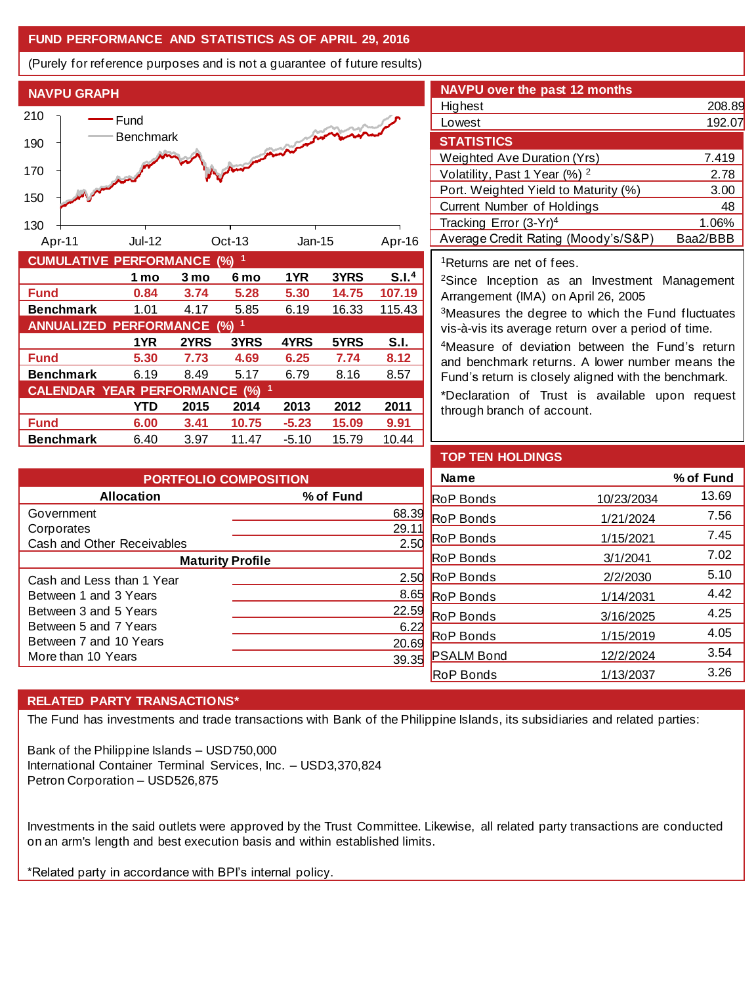# **FUND PERFORMANCE AND STATISTICS AS OF APRIL 29, 2016**

(Purely for reference purposes and is not a guarantee of future results)



**Fund 5.30 7.73 4.69 6.25 7.74 8.12 Benchmark** 6.19 8.49 5.17 6.79 8.16 8.57

**Fund 6.00 3.41 10.75 -5.23 15.09 9.91 Benchmark** 6.40 3.97 11.47 -5.10 15.79 10.44

**CALENDAR YEAR PERFORMANCE (%) <sup>1</sup>**

**1YR 2YRS 3YRS 4YRS 5YRS S.I.**

**YTD 2015 2014 2013 2012 2011**

| <b>NAVPU over the past 12 months</b>     |          |
|------------------------------------------|----------|
| Highest                                  | 208.89   |
| Lowest                                   | 192.07   |
| <b>STATISTICS</b>                        |          |
| Weighted Ave Duration (Yrs)              | 7.419    |
| Volatility, Past 1 Year (%) <sup>2</sup> | 2.78     |
| Port. Weighted Yield to Maturity (%)     | 3.00     |
| <b>Current Number of Holdings</b>        | 48       |
| Tracking Error (3-Yr) <sup>4</sup>       | 1.06%    |
| Average Credit Rating (Moody's/S&P)      | Baa2/BBB |

<sup>1</sup>Returns are net of fees.

<sup>2</sup>Since Inception as an Investment Management Arrangement (IMA) on April 26, 2005

<sup>3</sup>Measures the degree to which the Fund fluctuates vis-à-vis its average return over a period of time.

<sup>4</sup>Measure of deviation between the Fund's return and benchmark returns. A lower number means the Fund's return is closely aligned with the benchmark.

\*Declaration of Trust is available upon request through branch of account.

| <b>PORTFOLIO COMPOSITION</b> |           |  |  |  |
|------------------------------|-----------|--|--|--|
| <b>Allocation</b>            | % of Fund |  |  |  |
| Government                   | 68.39     |  |  |  |
| Corporates                   | 29.       |  |  |  |
| Cash and Other Receivables   | 2.50      |  |  |  |
| <b>Maturity Profile</b>      |           |  |  |  |
| Cash and Less than 1 Year    | 2.50      |  |  |  |
| Between 1 and 3 Years        | 8.65      |  |  |  |
| Between 3 and 5 Years        | 22.59     |  |  |  |
| Between 5 and 7 Years        | 6.22      |  |  |  |
| Between 7 and 10 Years       | 20.69     |  |  |  |
| More than 10 Years           |           |  |  |  |
|                              |           |  |  |  |

| <b>TOP TEN HOLDINGS</b> |            |           |
|-------------------------|------------|-----------|
| Name                    |            | % of Fund |
| <b>RoP Bonds</b>        | 10/23/2034 | 13.69     |
| <b>RoP</b> Bonds        | 1/21/2024  | 7.56      |
| <b>RoP</b> Bonds        | 1/15/2021  | 7.45      |
| <b>RoP Bonds</b>        | 3/1/2041   | 7.02      |
| <b>RoP</b> Bonds        | 2/2/2030   | 5.10      |
| <b>RoP</b> Bonds        | 1/14/2031  | 4.42      |
| <b>RoP</b> Bonds        | 3/16/2025  | 4.25      |
| <b>RoP Bonds</b>        | 1/15/2019  | 4.05      |
| <b>PSALM Bond</b>       | 12/2/2024  | 3.54      |
| <b>RoP Bonds</b>        | 1/13/2037  | 3.26      |

# **RELATED PARTY TRANSACTIONS\***

The Fund has investments and trade transactions with Bank of the Philippine Islands, its subsidiaries and related parties:

Bank of the Philippine Islands – USD750,000 International Container Terminal Services, Inc. – USD3,370,824 Petron Corporation – USD526,875

Investments in the said outlets were approved by the Trust Committee. Likewise, all related party transactions are conducted on an arm's length and best execution basis and within established limits.

\*Related party in accordance with BPI's internal policy.